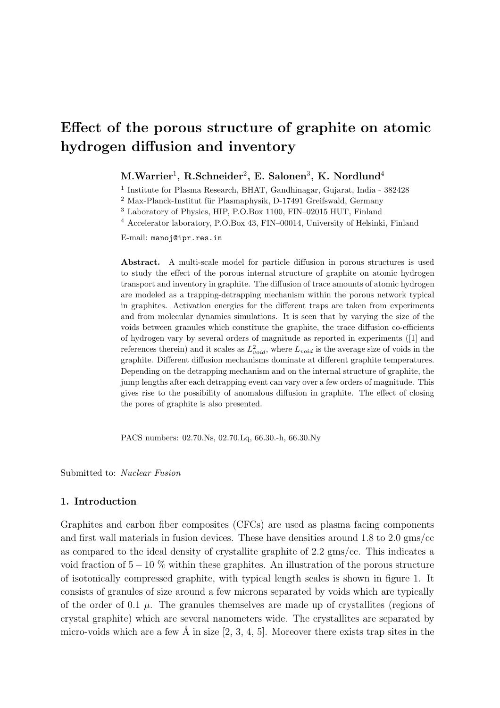# Effect of the porous structure of graphite on atomic hydrogen diffusion and inventory

# $\text{M.Warrier}^1, \ \text{R.Schneider}^2, \ \text{E. Salonen}^3, \ \text{K. Nordlund}^4$

1 Institute for Plasma Research, BHAT, Gandhinagar, Gujarat, India - 382428

<sup>2</sup> Max-Planck-Institut für Plasmaphysik, D-17491 Greifswald, Germany

<sup>3</sup> Laboratory of Physics, HIP, P.O.Box 1100, FIN–02015 HUT, Finland

<sup>4</sup> Accelerator laboratory, P.O.Box 43, FIN–00014, University of Helsinki, Finland

E-mail: manoj@ipr.res.in

Abstract. A multi-scale model for particle diffusion in porous structures is used to study the effect of the porous internal structure of graphite on atomic hydrogen transport and inventory in graphite. The diffusion of trace amounts of atomic hydrogen are modeled as a trapping-detrapping mechanism within the porous network typical in graphites. Activation energies for the different traps are taken from experiments and from molecular dynamics simulations. It is seen that by varying the size of the voids between granules which constitute the graphite, the trace diffusion co-efficients of hydrogen vary by several orders of magnitude as reported in experiments ([1] and references therein) and it scales as  $L_{void}^2$ , where  $L_{void}$  is the average size of voids in the graphite. Different diffusion mechanisms dominate at different graphite temperatures. Depending on the detrapping mechanism and on the internal structure of graphite, the jump lengths after each detrapping event can vary over a few orders of magnitude. This gives rise to the possibility of anomalous diffusion in graphite. The effect of closing the pores of graphite is also presented.

PACS numbers: 02.70.Ns, 02.70.Lq, 66.30.-h, 66.30.Ny

Submitted to: Nuclear Fusion

# 1. Introduction

Graphites and carbon fiber composites (CFCs) are used as plasma facing components and first wall materials in fusion devices. These have densities around 1.8 to 2.0 gms/cc as compared to the ideal density of crystallite graphite of 2.2 gms/cc. This indicates a void fraction of  $5 - 10\%$  within these graphites. An illustration of the porous structure of isotonically compressed graphite, with typical length scales is shown in figure 1. It consists of granules of size around a few microns separated by voids which are typically of the order of 0.1  $\mu$ . The granules themselves are made up of crystallites (regions of crystal graphite) which are several nanometers wide. The crystallites are separated by micro-voids which are a few  $\AA$  in size [2, 3, 4, 5]. Moreover there exists trap sites in the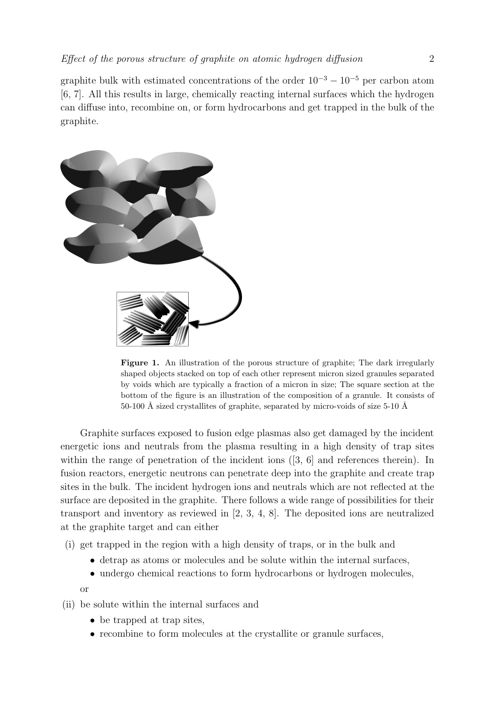graphite bulk with estimated concentrations of the order  $10^{-3} - 10^{-5}$  per carbon atom [6, 7]. All this results in large, chemically reacting internal surfaces which the hydrogen can diffuse into, recombine on, or form hydrocarbons and get trapped in the bulk of the graphite.



Figure 1. An illustration of the porous structure of graphite; The dark irregularly shaped objects stacked on top of each other represent micron sized granules separated by voids which are typically a fraction of a micron in size; The square section at the bottom of the figure is an illustration of the composition of a granule. It consists of 50-100 Å sized crystallites of graphite, separated by micro-voids of size  $5$ -10 Å

Graphite surfaces exposed to fusion edge plasmas also get damaged by the incident energetic ions and neutrals from the plasma resulting in a high density of trap sites within the range of penetration of the incident ions  $(3, 6]$  and references therein). In fusion reactors, energetic neutrons can penetrate deep into the graphite and create trap sites in the bulk. The incident hydrogen ions and neutrals which are not reflected at the surface are deposited in the graphite. There follows a wide range of possibilities for their transport and inventory as reviewed in [2, 3, 4, 8]. The deposited ions are neutralized at the graphite target and can either

- (i) get trapped in the region with a high density of traps, or in the bulk and
	- detrap as atoms or molecules and be solute within the internal surfaces,
	- undergo chemical reactions to form hydrocarbons or hydrogen molecules,

or

- (ii) be solute within the internal surfaces and
	- be trapped at trap sites,
	- recombine to form molecules at the crystallite or granule surfaces,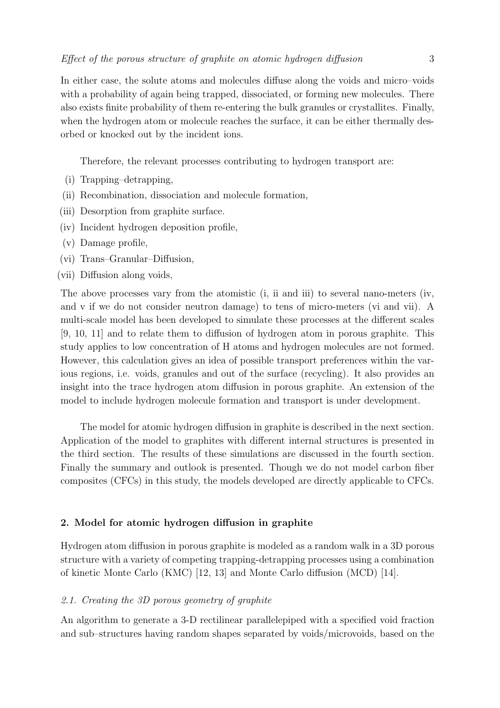In either case, the solute atoms and molecules diffuse along the voids and micro–voids with a probability of again being trapped, dissociated, or forming new molecules. There also exists finite probability of them re-entering the bulk granules or crystallites. Finally, when the hydrogen atom or molecule reaches the surface, it can be either thermally desorbed or knocked out by the incident ions.

Therefore, the relevant processes contributing to hydrogen transport are:

- (i) Trapping–detrapping,
- (ii) Recombination, dissociation and molecule formation,
- (iii) Desorption from graphite surface.
- (iv) Incident hydrogen deposition profile,
- (v) Damage profile,
- (vi) Trans–Granular–Diffusion,
- (vii) Diffusion along voids,

The above processes vary from the atomistic (i, ii and iii) to several nano-meters (iv, and v if we do not consider neutron damage) to tens of micro-meters (vi and vii). A multi-scale model has been developed to simulate these processes at the different scales [9, 10, 11] and to relate them to diffusion of hydrogen atom in porous graphite. This study applies to low concentration of H atoms and hydrogen molecules are not formed. However, this calculation gives an idea of possible transport preferences within the various regions, i.e. voids, granules and out of the surface (recycling). It also provides an insight into the trace hydrogen atom diffusion in porous graphite. An extension of the model to include hydrogen molecule formation and transport is under development.

The model for atomic hydrogen diffusion in graphite is described in the next section. Application of the model to graphites with different internal structures is presented in the third section. The results of these simulations are discussed in the fourth section. Finally the summary and outlook is presented. Though we do not model carbon fiber composites (CFCs) in this study, the models developed are directly applicable to CFCs.

## 2. Model for atomic hydrogen diffusion in graphite

Hydrogen atom diffusion in porous graphite is modeled as a random walk in a 3D porous structure with a variety of competing trapping-detrapping processes using a combination of kinetic Monte Carlo (KMC) [12, 13] and Monte Carlo diffusion (MCD) [14].

#### 2.1. Creating the 3D porous geometry of graphite

An algorithm to generate a 3-D rectilinear parallelepiped with a specified void fraction and sub–structures having random shapes separated by voids/microvoids, based on the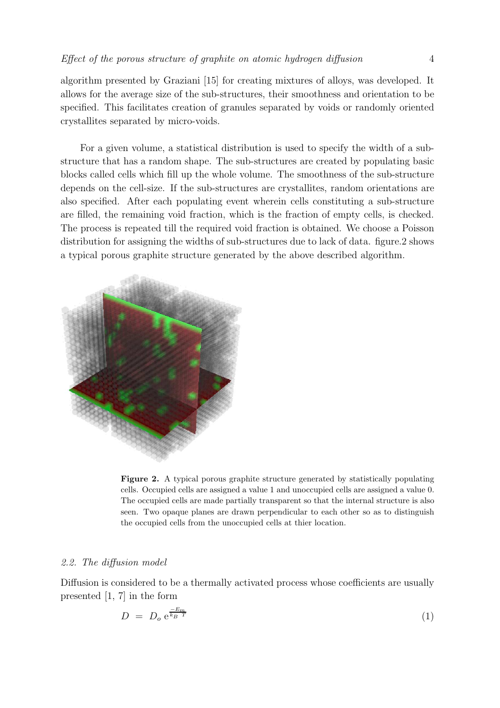algorithm presented by Graziani [15] for creating mixtures of alloys, was developed. It allows for the average size of the sub-structures, their smoothness and orientation to be specified. This facilitates creation of granules separated by voids or randomly oriented crystallites separated by micro-voids.

For a given volume, a statistical distribution is used to specify the width of a substructure that has a random shape. The sub-structures are created by populating basic blocks called cells which fill up the whole volume. The smoothness of the sub-structure depends on the cell-size. If the sub-structures are crystallites, random orientations are also specified. After each populating event wherein cells constituting a sub-structure are filled, the remaining void fraction, which is the fraction of empty cells, is checked. The process is repeated till the required void fraction is obtained. We choose a Poisson distribution for assigning the widths of sub-structures due to lack of data. figure.2 shows a typical porous graphite structure generated by the above described algorithm.



Figure 2. A typical porous graphite structure generated by statistically populating cells. Occupied cells are assigned a value 1 and unoccupied cells are assigned a value 0. The occupied cells are made partially transparent so that the internal structure is also seen. Two opaque planes are drawn perpendicular to each other so as to distinguish the occupied cells from the unoccupied cells at thier location.

#### 2.2. The diffusion model

Diffusion is considered to be a thermally activated process whose coefficients are usually presented [1, 7] in the form

$$
D = D_o e^{\frac{-E_m}{k_B T}} \tag{1}
$$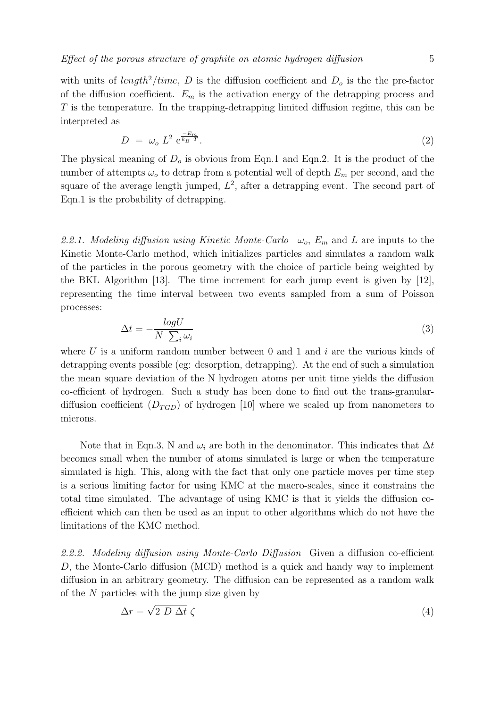with units of length<sup>2</sup>/time, D is the diffusion coefficient and  $D<sub>o</sub>$  is the the pre-factor of the diffusion coefficient.  $E_m$  is the activation energy of the detrapping process and  $T$  is the temperature. In the trapping-detrapping limited diffusion regime, this can be interpreted as

$$
D = \omega_o L^2 e^{\frac{-E_m}{k_B T}}.
$$
\n
$$
(2)
$$

The physical meaning of  $D<sub>o</sub>$  is obvious from Eqn.1 and Eqn.2. It is the product of the number of attempts  $\omega_o$  to detrap from a potential well of depth  $E_m$  per second, and the square of the average length jumped,  $L^2$ , after a detrapping event. The second part of Eqn.1 is the probability of detrapping.

2.2.1. Modeling diffusion using Kinetic Monte-Carlo  $\omega_o$ ,  $E_m$  and L are inputs to the Kinetic Monte-Carlo method, which initializes particles and simulates a random walk of the particles in the porous geometry with the choice of particle being weighted by the BKL Algorithm [13]. The time increment for each jump event is given by [12], representing the time interval between two events sampled from a sum of Poisson processes:

$$
\Delta t = -\frac{\log U}{N \sum_{i} \omega_i} \tag{3}
$$

where U is a uniform random number between 0 and 1 and  $i$  are the various kinds of detrapping events possible (eg: desorption, detrapping). At the end of such a simulation the mean square deviation of the N hydrogen atoms per unit time yields the diffusion co-efficient of hydrogen. Such a study has been done to find out the trans-granulardiffusion coefficient  $(D_{TGD})$  of hydrogen [10] where we scaled up from nanometers to microns.

Note that in Eqn.3, N and  $\omega_i$  are both in the denominator. This indicates that  $\Delta t$ becomes small when the number of atoms simulated is large or when the temperature simulated is high. This, along with the fact that only one particle moves per time step is a serious limiting factor for using KMC at the macro-scales, since it constrains the total time simulated. The advantage of using KMC is that it yields the diffusion coefficient which can then be used as an input to other algorithms which do not have the limitations of the KMC method.

2.2.2. Modeling diffusion using Monte-Carlo Diffusion Given a diffusion co-efficient D, the Monte-Carlo diffusion (MCD) method is a quick and handy way to implement diffusion in an arbitrary geometry. The diffusion can be represented as a random walk of the  $N$  particles with the jump size given by

$$
\Delta r = \sqrt{2 D \Delta t} \zeta \tag{4}
$$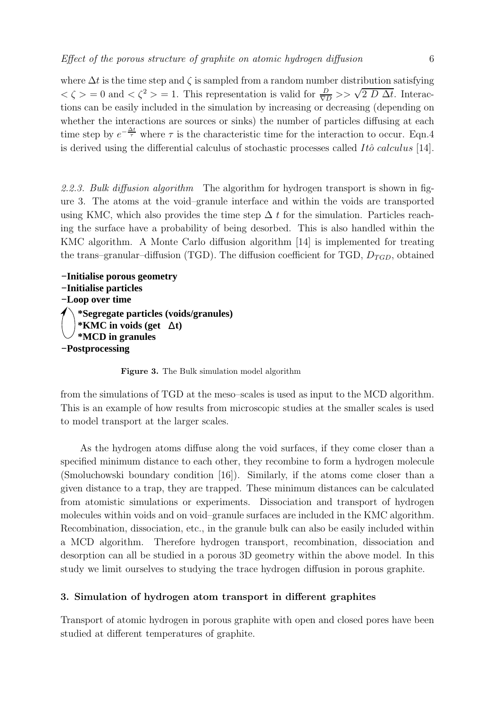where  $\Delta t$  is the time step and  $\zeta$  is sampled from a random number distribution satisfying  $\langle \zeta \rangle = 0$  and  $\langle \zeta^2 \rangle = 1$ . This representation is valid for  $\frac{D}{\nabla D} >> \sqrt{2 D \Delta t}$ . Interactions can be easily included in the simulation by increasing or decreasing (depending on whether the interactions are sources or sinks) the number of particles diffusing at each time step by  $e^{-\frac{\Delta t}{\tau}}$  where  $\tau$  is the characteristic time for the interaction to occur. Eqn.4 is derived using the differential calculus of stochastic processes called  $It\hat{o}$  calculus [14].

2.2.3. Bulk diffusion algorithm The algorithm for hydrogen transport is shown in figure 3. The atoms at the void–granule interface and within the voids are transported using KMC, which also provides the time step  $\Delta t$  for the simulation. Particles reaching the surface have a probability of being desorbed. This is also handled within the KMC algorithm. A Monte Carlo diffusion algorithm [14] is implemented for treating the trans–granular–diffusion (TGD). The diffusion coefficient for TGD,  $D_{TGD}$ , obtained

**−Initialise porous geometry −Initialise particles −Loop over time \*Segregate particles (voids/granules) \*MCD in granules −Postprocessing \*KMC in voids (get t)** ∆

Figure 3. The Bulk simulation model algorithm

from the simulations of TGD at the meso–scales is used as input to the MCD algorithm. This is an example of how results from microscopic studies at the smaller scales is used to model transport at the larger scales.

As the hydrogen atoms diffuse along the void surfaces, if they come closer than a specified minimum distance to each other, they recombine to form a hydrogen molecule (Smoluchowski boundary condition [16]). Similarly, if the atoms come closer than a given distance to a trap, they are trapped. These minimum distances can be calculated from atomistic simulations or experiments. Dissociation and transport of hydrogen molecules within voids and on void–granule surfaces are included in the KMC algorithm. Recombination, dissociation, etc., in the granule bulk can also be easily included within a MCD algorithm. Therefore hydrogen transport, recombination, dissociation and desorption can all be studied in a porous 3D geometry within the above model. In this study we limit ourselves to studying the trace hydrogen diffusion in porous graphite.

#### 3. Simulation of hydrogen atom transport in different graphites

Transport of atomic hydrogen in porous graphite with open and closed pores have been studied at different temperatures of graphite.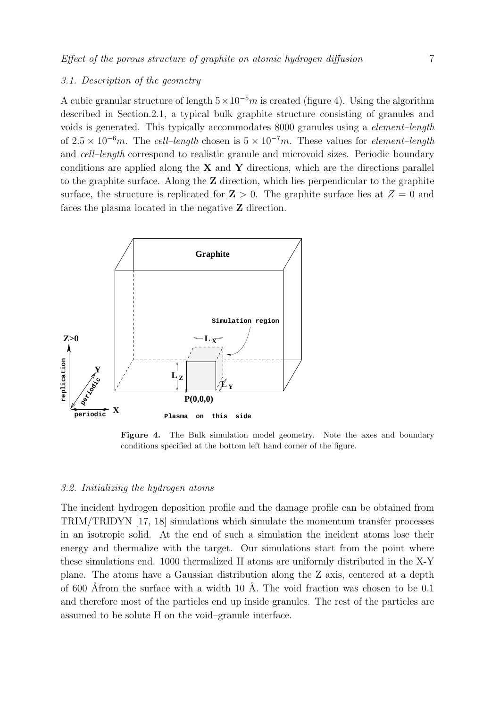# 3.1. Description of the geometry

A cubic granular structure of length  $5 \times 10^{-5}$ m is created (figure 4). Using the algorithm described in Section.2.1, a typical bulk graphite structure consisting of granules and voids is generated. This typically accommodates 8000 granules using a element–length of  $2.5 \times 10^{-6}$ m. The cell–length chosen is  $5 \times 10^{-7}$ m. These values for element–length and cell–length correspond to realistic granule and microvoid sizes. Periodic boundary conditions are applied along the  $X$  and  $Y$  directions, which are the directions parallel to the graphite surface. Along the Z direction, which lies perpendicular to the graphite surface, the structure is replicated for  $\mathbf{Z} > 0$ . The graphite surface lies at  $Z = 0$  and faces the plasma located in the negative Z direction.



Figure 4. The Bulk simulation model geometry. Note the axes and boundary conditions specified at the bottom left hand corner of the figure.

#### 3.2. Initializing the hydrogen atoms

The incident hydrogen deposition profile and the damage profile can be obtained from TRIM/TRIDYN [17, 18] simulations which simulate the momentum transfer processes in an isotropic solid. At the end of such a simulation the incident atoms lose their energy and thermalize with the target. Our simulations start from the point where these simulations end. 1000 thermalized H atoms are uniformly distributed in the X-Y plane. The atoms have a Gaussian distribution along the Z axis, centered at a depth of 600 Åfrom the surface with a width 10 Å. The void fraction was chosen to be 0.1 and therefore most of the particles end up inside granules. The rest of the particles are assumed to be solute H on the void–granule interface.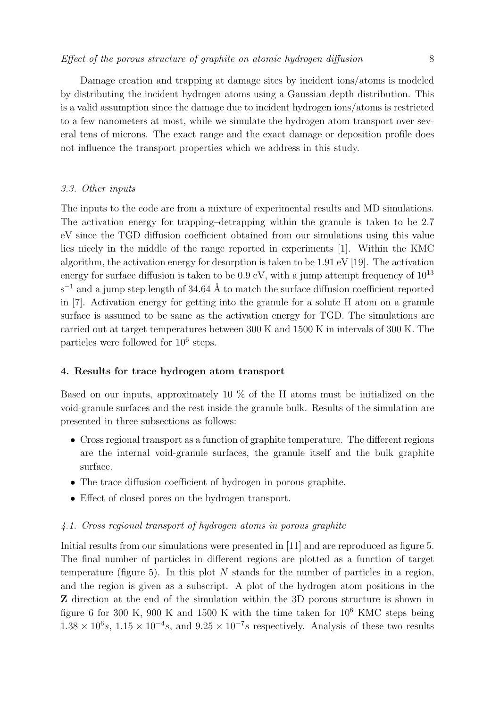Damage creation and trapping at damage sites by incident ions/atoms is modeled by distributing the incident hydrogen atoms using a Gaussian depth distribution. This is a valid assumption since the damage due to incident hydrogen ions/atoms is restricted to a few nanometers at most, while we simulate the hydrogen atom transport over several tens of microns. The exact range and the exact damage or deposition profile does not influence the transport properties which we address in this study.

#### 3.3. Other inputs

The inputs to the code are from a mixture of experimental results and MD simulations. The activation energy for trapping–detrapping within the granule is taken to be 2.7 eV since the TGD diffusion coefficient obtained from our simulations using this value lies nicely in the middle of the range reported in experiments [1]. Within the KMC algorithm, the activation energy for desorption is taken to be 1.91 eV [19]. The activation energy for surface diffusion is taken to be  $0.9 \text{ eV}$ , with a jump attempt frequency of  $10^{13}$  $s^{-1}$  and a jump step length of 34.64 Å to match the surface diffusion coefficient reported in [7]. Activation energy for getting into the granule for a solute H atom on a granule surface is assumed to be same as the activation energy for TGD. The simulations are carried out at target temperatures between 300 K and 1500 K in intervals of 300 K. The particles were followed for  $10^6$  steps.

#### 4. Results for trace hydrogen atom transport

Based on our inputs, approximately 10 % of the H atoms must be initialized on the void-granule surfaces and the rest inside the granule bulk. Results of the simulation are presented in three subsections as follows:

- Cross regional transport as a function of graphite temperature. The different regions are the internal void-granule surfaces, the granule itself and the bulk graphite surface.
- The trace diffusion coefficient of hydrogen in porous graphite.
- Effect of closed pores on the hydrogen transport.

# 4.1. Cross regional transport of hydrogen atoms in porous graphite

Initial results from our simulations were presented in [11] and are reproduced as figure 5. The final number of particles in different regions are plotted as a function of target temperature (figure 5). In this plot  $N$  stands for the number of particles in a region, and the region is given as a subscript. A plot of the hydrogen atom positions in the Z direction at the end of the simulation within the 3D porous structure is shown in figure 6 for 300 K, 900 K and 1500 K with the time taken for  $10^6$  KMC steps being  $1.38 \times 10^6 s$ ,  $1.15 \times 10^{-4} s$ , and  $9.25 \times 10^{-7} s$  respectively. Analysis of these two results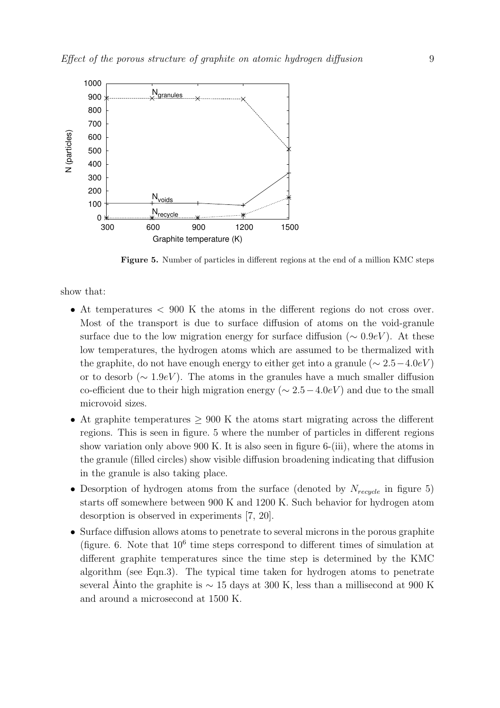

Figure 5. Number of particles in different regions at the end of a million KMC steps

show that:

- At temperatures < 900 K the atoms in the different regions do not cross over. Most of the transport is due to surface diffusion of atoms on the void-granule surface due to the low migration energy for surface diffusion ( $\sim 0.9 \text{eV}$ ). At these low temperatures, the hydrogen atoms which are assumed to be thermalized with the graphite, do not have enough energy to either get into a granule ( $\sim 2.5-4.0$ eV) or to desorb ( $\sim 1.9$ eV). The atoms in the granules have a much smaller diffusion co-efficient due to their high migration energy ( $\sim 2.5-4.0eV$ ) and due to the small microvoid sizes.
- At graphite temperatures  $> 900$  K the atoms start migrating across the different regions. This is seen in figure. 5 where the number of particles in different regions show variation only above 900 K. It is also seen in figure 6-(iii), where the atoms in the granule (filled circles) show visible diffusion broadening indicating that diffusion in the granule is also taking place.
- Desorption of hydrogen atoms from the surface (denoted by  $N_{recycle}$  in figure 5) starts off somewhere between 900 K and 1200 K. Such behavior for hydrogen atom desorption is observed in experiments [7, 20].
- Surface diffusion allows atoms to penetrate to several microns in the porous graphite (figure. 6. Note that  $10^6$  time steps correspond to different times of simulation at different graphite temperatures since the time step is determined by the KMC algorithm (see Eqn.3). The typical time taken for hydrogen atoms to penetrate several Åinto the graphite is  $\sim 15$  days at 300 K, less than a millisecond at 900 K and around a microsecond at 1500 K.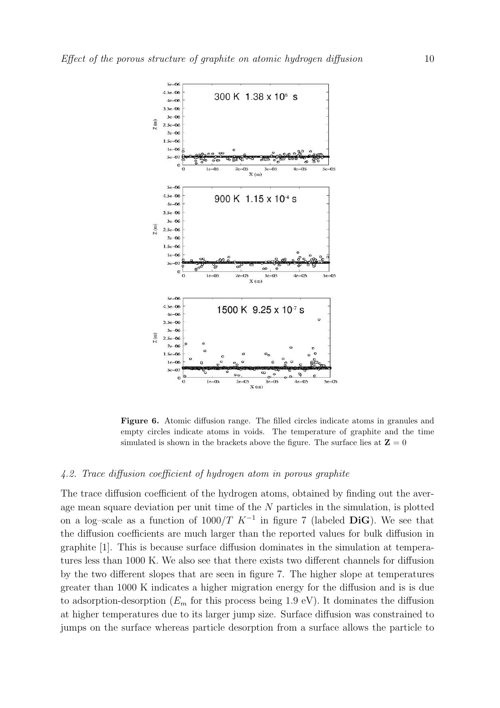

Figure 6. Atomic diffusion range. The filled circles indicate atoms in granules and empty circles indicate atoms in voids. The temperature of graphite and the time simulated is shown in the brackets above the figure. The surface lies at  $\mathbf{Z} = 0$ 

# 4.2. Trace diffusion coefficient of hydrogen atom in porous graphite

The trace diffusion coefficient of the hydrogen atoms, obtained by finding out the average mean square deviation per unit time of the  $N$  particles in the simulation, is plotted on a log–scale as a function of  $1000/T$   $K^{-1}$  in figure 7 (labeled DiG). We see that the diffusion coefficients are much larger than the reported values for bulk diffusion in graphite [1]. This is because surface diffusion dominates in the simulation at temperatures less than 1000 K. We also see that there exists two different channels for diffusion by the two different slopes that are seen in figure 7. The higher slope at temperatures greater than 1000 K indicates a higher migration energy for the diffusion and is is due to adsorption-desorption  $(E_m$  for this process being 1.9 eV). It dominates the diffusion at higher temperatures due to its larger jump size. Surface diffusion was constrained to jumps on the surface whereas particle desorption from a surface allows the particle to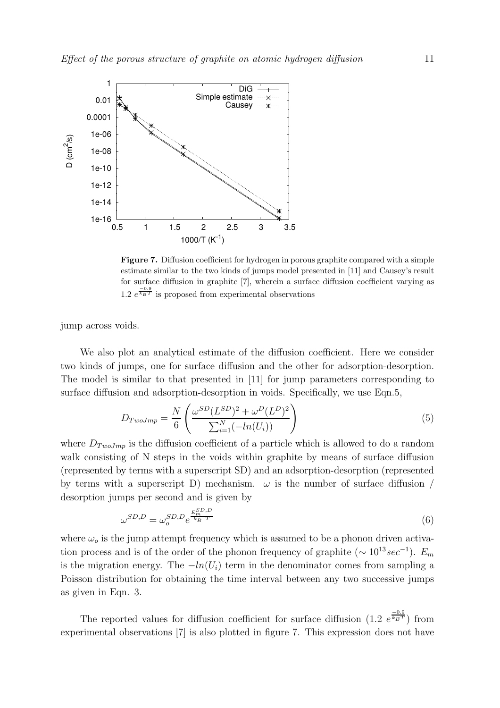

Figure 7. Diffusion coefficient for hydrogen in porous graphite compared with a simple estimate similar to the two kinds of jumps model presented in [11] and Causey's result for surface diffusion in graphite [7], wherein a surface diffusion coefficient varying as 1.2  $e^{\frac{-0.9}{k_B T}}$  is proposed from experimental observations

jump across voids.

We also plot an analytical estimate of the diffusion coefficient. Here we consider two kinds of jumps, one for surface diffusion and the other for adsorption-desorption. The model is similar to that presented in [11] for jump parameters corresponding to surface diffusion and adsorption-desorption in voids. Specifically, we use Eqn.5,

$$
D_{TwoJmp} = \frac{N}{6} \left( \frac{\omega^{SD} (L^{SD})^2 + \omega^D (L^D)^2}{\sum_{i=1}^N (-ln(U_i))} \right) \tag{5}
$$

where  $D_{TwoJmp}$  is the diffusion coefficient of a particle which is allowed to do a random walk consisting of N steps in the voids within graphite by means of surface diffusion (represented by terms with a superscript SD) and an adsorption-desorption (represented by terms with a superscript D) mechanism.  $\omega$  is the number of surface diffusion / desorption jumps per second and is given by

$$
\omega^{SD,D} = \omega_o^{SD,D} e^{\frac{E_m^{SD,D}}{k_B T}}
$$
\n
$$
\tag{6}
$$

where  $\omega_o$  is the jump attempt frequency which is assumed to be a phonon driven activation process and is of the order of the phonon frequency of graphite ( $\sim 10^{13} sec^{-1}$ ).  $E_m$ is the migration energy. The  $-\ln(U_i)$  term in the denominator comes from sampling a Poisson distribution for obtaining the time interval between any two successive jumps as given in Eqn. 3.

The reported values for diffusion coefficient for surface diffusion  $(1.2 \, e^{\frac{-0.9}{k_B T}})$  from experimental observations [7] is also plotted in figure 7. This expression does not have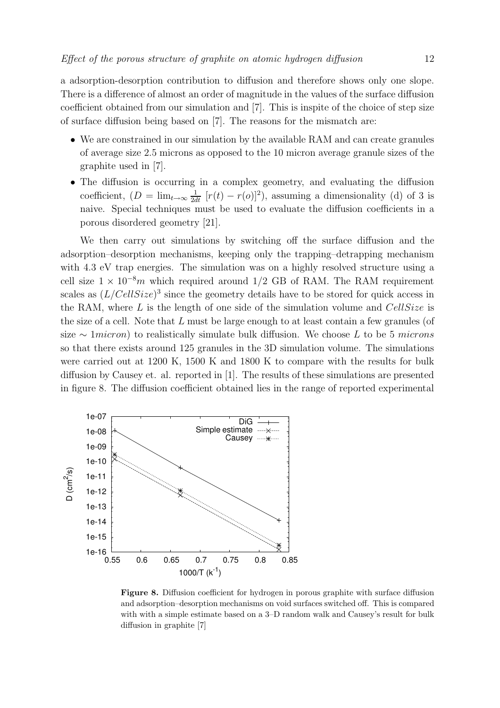a adsorption-desorption contribution to diffusion and therefore shows only one slope. There is a difference of almost an order of magnitude in the values of the surface diffusion coefficient obtained from our simulation and [7]. This is inspite of the choice of step size of surface diffusion being based on [7]. The reasons for the mismatch are:

- We are constrained in our simulation by the available RAM and can create granules of average size 2.5 microns as opposed to the 10 micron average granule sizes of the graphite used in [7].
- The diffusion is occurring in a complex geometry, and evaluating the diffusion coefficient,  $(D = \lim_{t \to \infty} \frac{1}{2dt} [r(t) - r(o)]^2)$ , assuming a dimensionality (d) of 3 is naive. Special techniques must be used to evaluate the diffusion coefficients in a porous disordered geometry [21].

We then carry out simulations by switching off the surface diffusion and the adsorption–desorption mechanisms, keeping only the trapping–detrapping mechanism with 4.3 eV trap energies. The simulation was on a highly resolved structure using a cell size  $1 \times 10^{-8}$ m which required around 1/2 GB of RAM. The RAM requirement scales as  $(L/CellSize)^3$  since the geometry details have to be stored for quick access in the RAM, where L is the length of one side of the simulation volume and  $CellSize$  is the size of a cell. Note that  $L$  must be large enough to at least contain a few granules (of size  $\sim 1$ *micron*) to realistically simulate bulk diffusion. We choose L to be 5 microns so that there exists around 125 granules in the 3D simulation volume. The simulations were carried out at 1200 K, 1500 K and 1800 K to compare with the results for bulk diffusion by Causey et. al. reported in [1]. The results of these simulations are presented in figure 8. The diffusion coefficient obtained lies in the range of reported experimental



Figure 8. Diffusion coefficient for hydrogen in porous graphite with surface diffusion and adsorption–desorption mechanisms on void surfaces switched off. This is compared with with a simple estimate based on a 3–D random walk and Causey's result for bulk diffusion in graphite [7]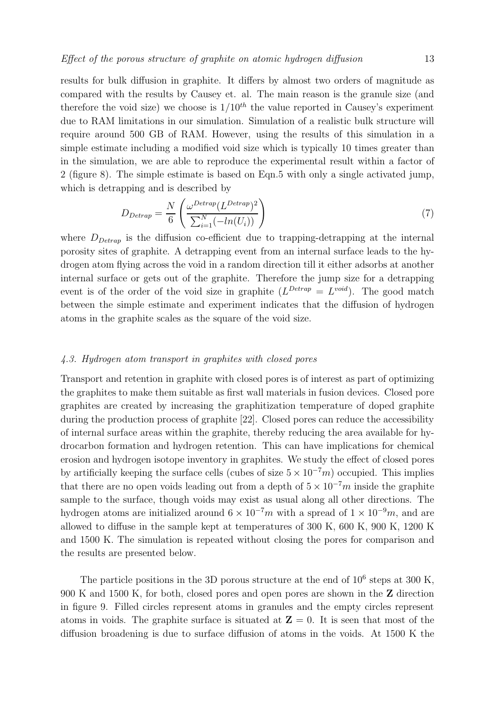results for bulk diffusion in graphite. It differs by almost two orders of magnitude as compared with the results by Causey et. al. The main reason is the granule size (and therefore the void size) we choose is  $1/10^{th}$  the value reported in Causey's experiment due to RAM limitations in our simulation. Simulation of a realistic bulk structure will require around 500 GB of RAM. However, using the results of this simulation in a simple estimate including a modified void size which is typically 10 times greater than

which is detrapping and is described by

$$
D_{Detrap} = \frac{N}{6} \left( \frac{\omega^{Detrap} (L^{Detrap})^2}{\sum_{i=1}^{N} (-ln(U_i))} \right) \tag{7}
$$

where  $D_{Detrap}$  is the diffusion co-efficient due to trapping-detrapping at the internal porosity sites of graphite. A detrapping event from an internal surface leads to the hydrogen atom flying across the void in a random direction till it either adsorbs at another internal surface or gets out of the graphite. Therefore the jump size for a detrapping event is of the order of the void size in graphite  $(L^{Detrap} = L^{void})$ . The good match between the simple estimate and experiment indicates that the diffusion of hydrogen atoms in the graphite scales as the square of the void size.

in the simulation, we are able to reproduce the experimental result within a factor of 2 (figure 8). The simple estimate is based on Eqn.5 with only a single activated jump,

# 4.3. Hydrogen atom transport in graphites with closed pores

Transport and retention in graphite with closed pores is of interest as part of optimizing the graphites to make them suitable as first wall materials in fusion devices. Closed pore graphites are created by increasing the graphitization temperature of doped graphite during the production process of graphite [22]. Closed pores can reduce the accessibility of internal surface areas within the graphite, thereby reducing the area available for hydrocarbon formation and hydrogen retention. This can have implications for chemical erosion and hydrogen isotope inventory in graphites. We study the effect of closed pores by artificially keeping the surface cells (cubes of size  $5 \times 10^{-7} m$ ) occupied. This implies that there are no open voids leading out from a depth of  $5 \times 10^{-7}$ m inside the graphite sample to the surface, though voids may exist as usual along all other directions. The hydrogen atoms are initialized around  $6 \times 10^{-7}m$  with a spread of  $1 \times 10^{-9}m$ , and are allowed to diffuse in the sample kept at temperatures of 300 K, 600 K, 900 K, 1200 K and 1500 K. The simulation is repeated without closing the pores for comparison and the results are presented below.

The particle positions in the 3D porous structure at the end of  $10^6$  steps at 300 K, 900 K and 1500 K, for both, closed pores and open pores are shown in the Z direction in figure 9. Filled circles represent atoms in granules and the empty circles represent atoms in voids. The graphite surface is situated at  $\mathbf{Z} = 0$ . It is seen that most of the diffusion broadening is due to surface diffusion of atoms in the voids. At 1500 K the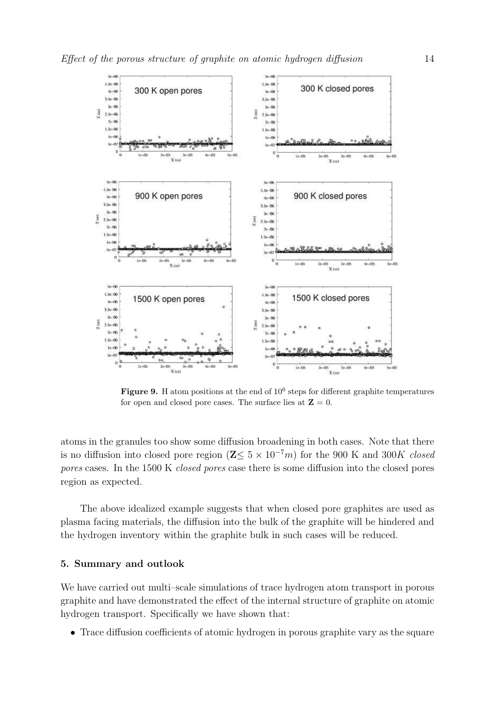

Figure 9. H atom positions at the end of  $10^6$  steps for different graphite temperatures for open and closed pore cases. The surface lies at  $\mathbf{Z} = 0$ .

atoms in the granules too show some diffusion broadening in both cases. Note that there is no diffusion into closed pore region ( $\mathbb{Z}\leq 5\times 10^{-7}m$ ) for the 900 K and 300K closed pores cases. In the 1500 K closed pores case there is some diffusion into the closed pores region as expected.

The above idealized example suggests that when closed pore graphites are used as plasma facing materials, the diffusion into the bulk of the graphite will be hindered and the hydrogen inventory within the graphite bulk in such cases will be reduced.

#### 5. Summary and outlook

We have carried out multi–scale simulations of trace hydrogen atom transport in porous graphite and have demonstrated the effect of the internal structure of graphite on atomic hydrogen transport. Specifically we have shown that:

• Trace diffusion coefficients of atomic hydrogen in porous graphite vary as the square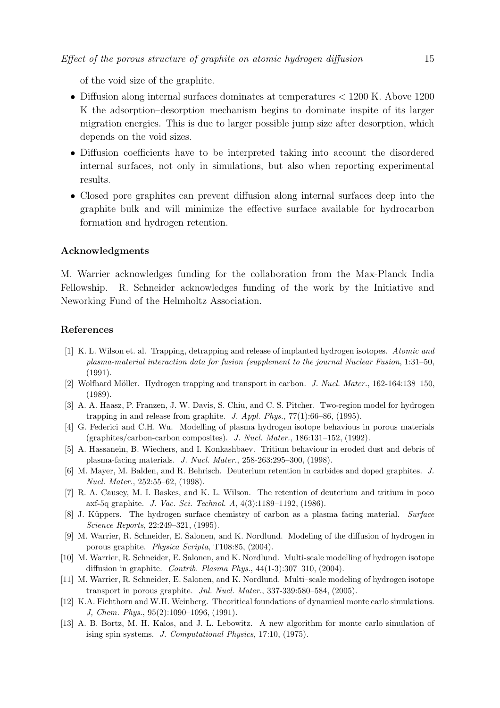of the void size of the graphite.

- Diffusion along internal surfaces dominates at temperatures < 1200 K. Above 1200 K the adsorption–desorption mechanism begins to dominate inspite of its larger migration energies. This is due to larger possible jump size after desorption, which depends on the void sizes.
- Diffusion coefficients have to be interpreted taking into account the disordered internal surfaces, not only in simulations, but also when reporting experimental results.
- Closed pore graphites can prevent diffusion along internal surfaces deep into the graphite bulk and will minimize the effective surface available for hydrocarbon formation and hydrogen retention.

# Acknowledgments

M. Warrier acknowledges funding for the collaboration from the Max-Planck India Fellowship. R. Schneider acknowledges funding of the work by the Initiative and Neworking Fund of the Helmholtz Association.

#### References

- [1] K. L. Wilson et. al. Trapping, detrapping and release of implanted hydrogen isotopes. Atomic and plasma-material interaction data for fusion (supplement to the journal Nuclear Fusion, 1:31–50, (1991).
- [2] Wolfhard Möller. Hydrogen trapping and transport in carbon. J. Nucl. Mater., 162-164:138–150, (1989).
- [3] A. A. Haasz, P. Franzen, J. W. Davis, S. Chiu, and C. S. Pitcher. Two-region model for hydrogen trapping in and release from graphite. J. Appl. Phys., 77(1):66–86, (1995).
- [4] G. Federici and C.H. Wu. Modelling of plasma hydrogen isotope behavious in porous materials (graphites/carbon-carbon composites). J. Nucl. Mater., 186:131–152, (1992).
- [5] A. Hassanein, B. Wiechers, and I. Konkashbaev. Tritium behaviour in eroded dust and debris of plasma-facing materials. J. Nucl. Mater., 258-263:295–300, (1998).
- [6] M. Mayer, M. Balden, and R. Behrisch. Deuterium retention in carbides and doped graphites. J. Nucl. Mater., 252:55–62, (1998).
- [7] R. A. Causey, M. I. Baskes, and K. L. Wilson. The retention of deuterium and tritium in poco axf-5q graphite. J. Vac. Sci. Technol. A, 4(3):1189–1192, (1986).
- [8] J. Küppers. The hydrogen surface chemistry of carbon as a plasma facing material. Surface Science Reports, 22:249–321, (1995).
- [9] M. Warrier, R. Schneider, E. Salonen, and K. Nordlund. Modeling of the diffusion of hydrogen in porous graphite. Physica Scripta, T108:85, (2004).
- [10] M. Warrier, R. Schneider, E. Salonen, and K. Nordlund. Multi-scale modelling of hydrogen isotope diffusion in graphite. Contrib. Plasma Phys., 44(1-3):307–310, (2004).
- [11] M. Warrier, R. Schneider, E. Salonen, and K. Nordlund. Multi–scale modeling of hydrogen isotope transport in porous graphite. Jnl. Nucl. Mater., 337-339:580–584, (2005).
- [12] K.A. Fichthorn and W.H. Weinberg. Theoritical foundations of dynamical monte carlo simulations. J, Chem. Phys., 95(2):1090–1096, (1991).
- [13] A. B. Bortz, M. H. Kalos, and J. L. Lebowitz. A new algorithm for monte carlo simulation of ising spin systems. J. Computational Physics, 17:10, (1975).